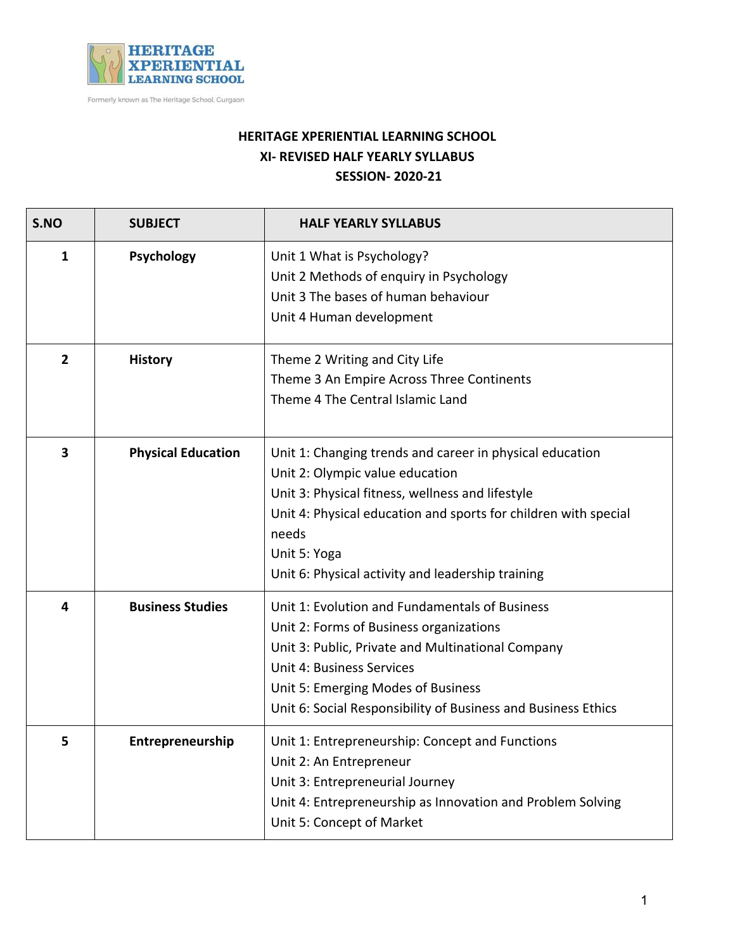

Formerly known as The Heritage School, Gurgaon

## **HERITAGE XPERIENTIAL LEARNING SCHOOL XI- REVISED HALF YEARLY SYLLABUS SESSION- 2020-21**

| S.NO                    | <b>SUBJECT</b>            | <b>HALF YEARLY SYLLABUS</b>                                                                                                                                                                                                                                                                      |
|-------------------------|---------------------------|--------------------------------------------------------------------------------------------------------------------------------------------------------------------------------------------------------------------------------------------------------------------------------------------------|
| 1                       | Psychology                | Unit 1 What is Psychology?<br>Unit 2 Methods of enquiry in Psychology<br>Unit 3 The bases of human behaviour<br>Unit 4 Human development                                                                                                                                                         |
| $\overline{2}$          | <b>History</b>            | Theme 2 Writing and City Life<br>Theme 3 An Empire Across Three Continents<br>Theme 4 The Central Islamic Land                                                                                                                                                                                   |
| $\overline{\mathbf{3}}$ | <b>Physical Education</b> | Unit 1: Changing trends and career in physical education<br>Unit 2: Olympic value education<br>Unit 3: Physical fitness, wellness and lifestyle<br>Unit 4: Physical education and sports for children with special<br>needs<br>Unit 5: Yoga<br>Unit 6: Physical activity and leadership training |
| 4                       | <b>Business Studies</b>   | Unit 1: Evolution and Fundamentals of Business<br>Unit 2: Forms of Business organizations<br>Unit 3: Public, Private and Multinational Company<br><b>Unit 4: Business Services</b><br>Unit 5: Emerging Modes of Business<br>Unit 6: Social Responsibility of Business and Business Ethics        |
| 5                       | Entrepreneurship          | Unit 1: Entrepreneurship: Concept and Functions<br>Unit 2: An Entrepreneur<br>Unit 3: Entrepreneurial Journey<br>Unit 4: Entrepreneurship as Innovation and Problem Solving<br>Unit 5: Concept of Market                                                                                         |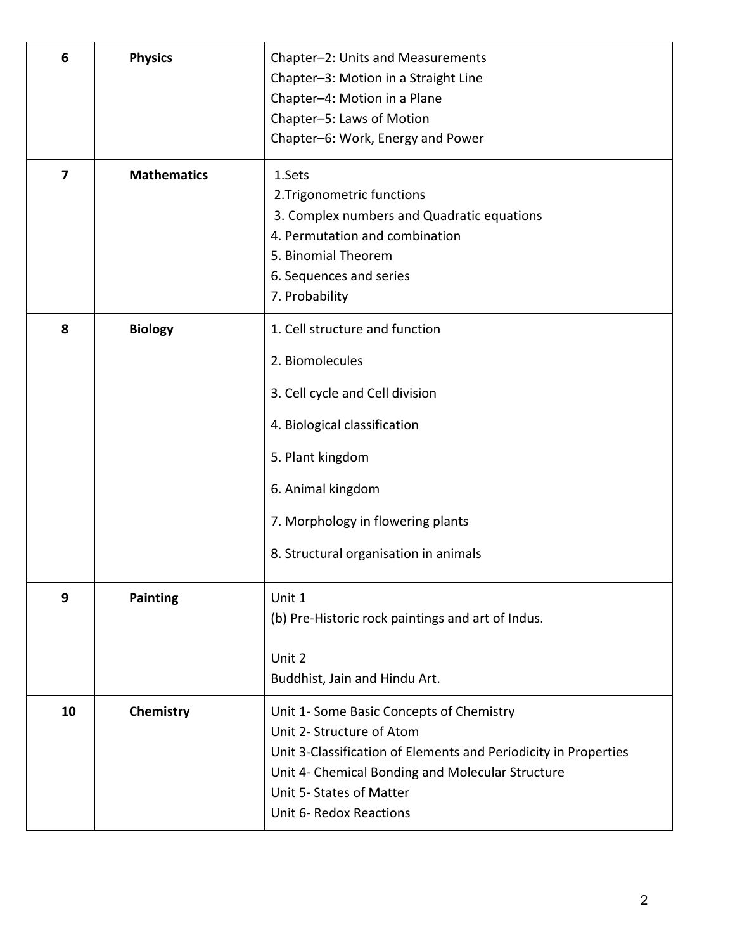| 6                       | <b>Physics</b>     | Chapter-2: Units and Measurements<br>Chapter-3: Motion in a Straight Line<br>Chapter-4: Motion in a Plane<br>Chapter-5: Laws of Motion<br>Chapter-6: Work, Energy and Power                                                                         |
|-------------------------|--------------------|-----------------------------------------------------------------------------------------------------------------------------------------------------------------------------------------------------------------------------------------------------|
| $\overline{\mathbf{z}}$ | <b>Mathematics</b> | 1.Sets<br>2. Trigonometric functions<br>3. Complex numbers and Quadratic equations<br>4. Permutation and combination<br>5. Binomial Theorem<br>6. Sequences and series<br>7. Probability                                                            |
| 8                       | <b>Biology</b>     | 1. Cell structure and function<br>2. Biomolecules<br>3. Cell cycle and Cell division<br>4. Biological classification<br>5. Plant kingdom<br>6. Animal kingdom<br>7. Morphology in flowering plants<br>8. Structural organisation in animals         |
| 9                       | <b>Painting</b>    | Unit 1<br>(b) Pre-Historic rock paintings and art of Indus.<br>Unit 2<br>Buddhist, Jain and Hindu Art.                                                                                                                                              |
| 10                      | Chemistry          | Unit 1- Some Basic Concepts of Chemistry<br>Unit 2- Structure of Atom<br>Unit 3-Classification of Elements and Periodicity in Properties<br>Unit 4- Chemical Bonding and Molecular Structure<br>Unit 5- States of Matter<br>Unit 6- Redox Reactions |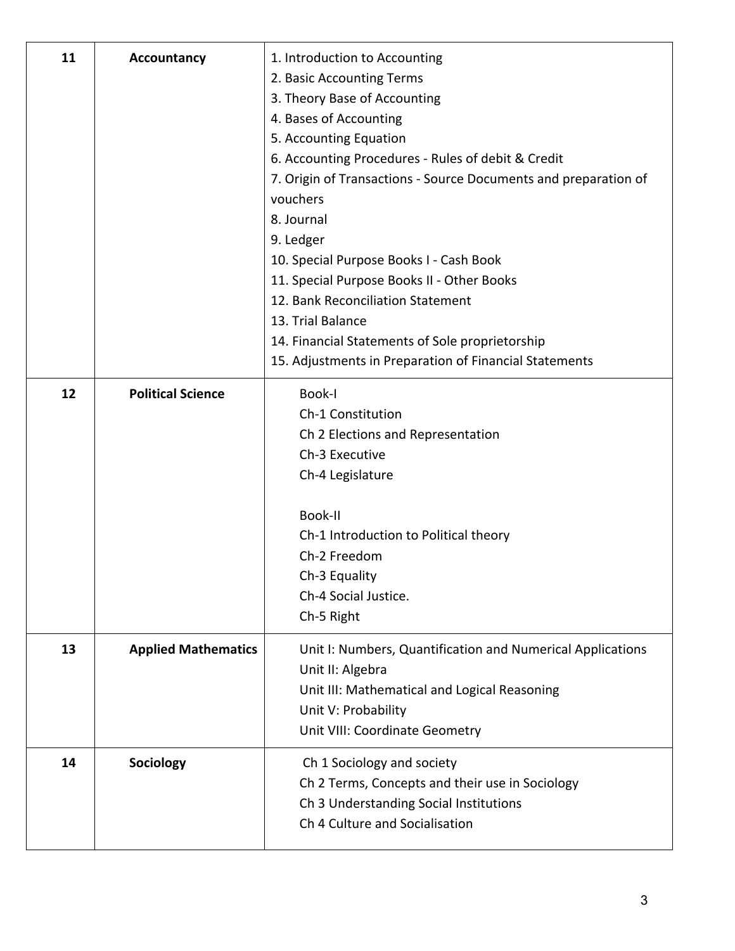| 11 | <b>Accountancy</b>         | 1. Introduction to Accounting<br>2. Basic Accounting Terms<br>3. Theory Base of Accounting<br>4. Bases of Accounting<br>5. Accounting Equation<br>6. Accounting Procedures - Rules of debit & Credit<br>7. Origin of Transactions - Source Documents and preparation of<br>vouchers<br>8. Journal<br>9. Ledger<br>10. Special Purpose Books I - Cash Book<br>11. Special Purpose Books II - Other Books<br>12. Bank Reconciliation Statement<br>13. Trial Balance<br>14. Financial Statements of Sole proprietorship<br>15. Adjustments in Preparation of Financial Statements |
|----|----------------------------|--------------------------------------------------------------------------------------------------------------------------------------------------------------------------------------------------------------------------------------------------------------------------------------------------------------------------------------------------------------------------------------------------------------------------------------------------------------------------------------------------------------------------------------------------------------------------------|
| 12 | <b>Political Science</b>   | Book-I<br>Ch-1 Constitution<br>Ch 2 Elections and Representation<br>Ch-3 Executive<br>Ch-4 Legislature<br>Book-II<br>Ch-1 Introduction to Political theory<br>Ch-2 Freedom<br>Ch-3 Equality<br>Ch-4 Social Justice.<br>Ch-5 Right                                                                                                                                                                                                                                                                                                                                              |
| 13 | <b>Applied Mathematics</b> | Unit I: Numbers, Quantification and Numerical Applications<br>Unit II: Algebra<br>Unit III: Mathematical and Logical Reasoning<br>Unit V: Probability<br>Unit VIII: Coordinate Geometry                                                                                                                                                                                                                                                                                                                                                                                        |
| 14 | Sociology                  | Ch 1 Sociology and society<br>Ch 2 Terms, Concepts and their use in Sociology<br>Ch 3 Understanding Social Institutions<br>Ch 4 Culture and Socialisation                                                                                                                                                                                                                                                                                                                                                                                                                      |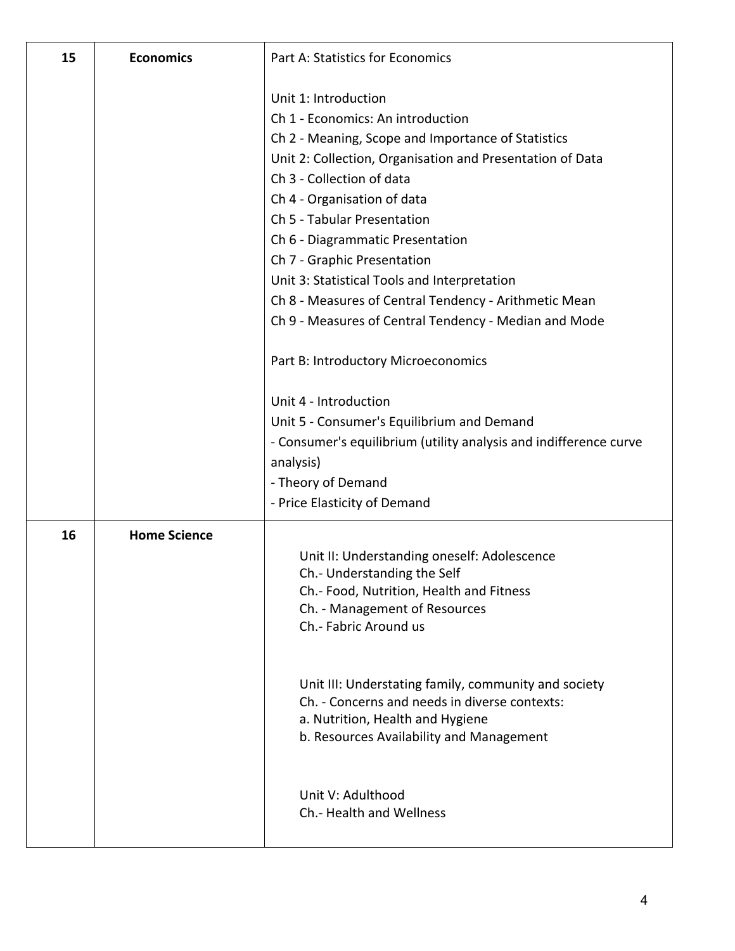| 15 | <b>Economics</b>    | <b>Part A: Statistics for Economics</b>                                      |
|----|---------------------|------------------------------------------------------------------------------|
|    |                     | Unit 1: Introduction                                                         |
|    |                     | Ch 1 - Economics: An introduction                                            |
|    |                     | Ch 2 - Meaning, Scope and Importance of Statistics                           |
|    |                     | Unit 2: Collection, Organisation and Presentation of Data                    |
|    |                     | Ch 3 - Collection of data                                                    |
|    |                     | Ch 4 - Organisation of data                                                  |
|    |                     | Ch 5 - Tabular Presentation                                                  |
|    |                     | Ch 6 - Diagrammatic Presentation                                             |
|    |                     | Ch 7 - Graphic Presentation                                                  |
|    |                     | Unit 3: Statistical Tools and Interpretation                                 |
|    |                     | Ch 8 - Measures of Central Tendency - Arithmetic Mean                        |
|    |                     | Ch 9 - Measures of Central Tendency - Median and Mode                        |
|    |                     | Part B: Introductory Microeconomics                                          |
|    |                     | Unit 4 - Introduction                                                        |
|    |                     | Unit 5 - Consumer's Equilibrium and Demand                                   |
|    |                     | - Consumer's equilibrium (utility analysis and indifference curve            |
|    |                     | analysis)                                                                    |
|    |                     | - Theory of Demand                                                           |
|    |                     | - Price Elasticity of Demand                                                 |
| 16 | <b>Home Science</b> |                                                                              |
|    |                     | Unit II: Understanding oneself: Adolescence                                  |
|    |                     | Ch.- Understanding the Self                                                  |
|    |                     | Ch.- Food, Nutrition, Health and Fitness<br>Ch. - Management of Resources    |
|    |                     | Ch.- Fabric Around us                                                        |
|    |                     |                                                                              |
|    |                     | Unit III: Understating family, community and society                         |
|    |                     | Ch. - Concerns and needs in diverse contexts:                                |
|    |                     | a. Nutrition, Health and Hygiene<br>b. Resources Availability and Management |
|    |                     |                                                                              |
|    |                     | Unit V: Adulthood                                                            |
|    |                     | Ch.- Health and Wellness                                                     |
|    |                     |                                                                              |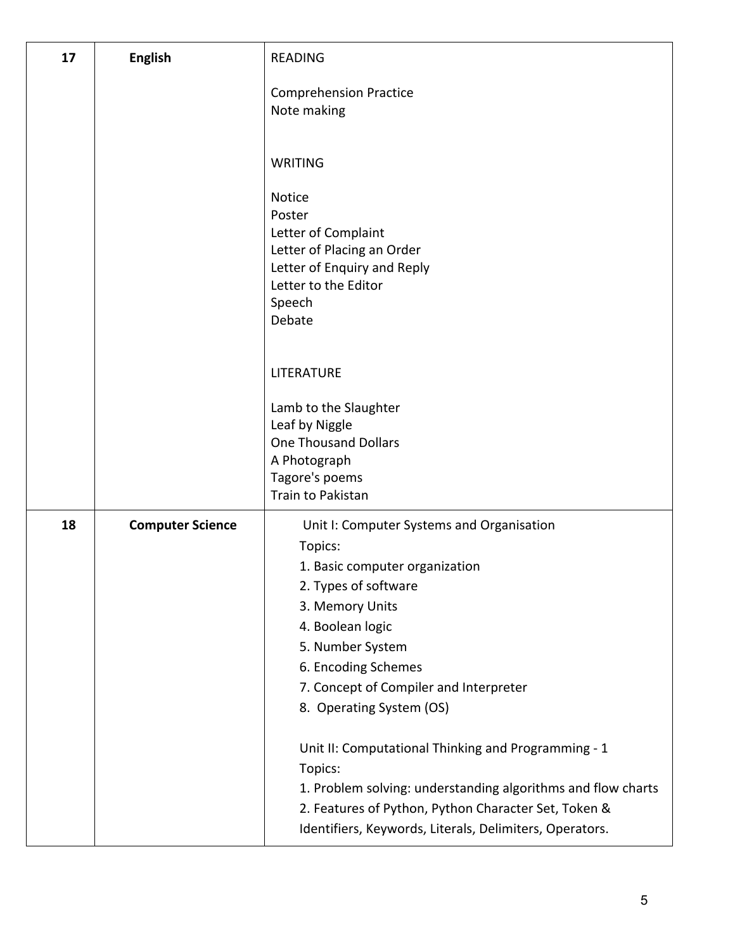| 17 | <b>English</b>          | <b>READING</b>                                                     |
|----|-------------------------|--------------------------------------------------------------------|
|    |                         | <b>Comprehension Practice</b><br>Note making                       |
|    |                         | <b>WRITING</b>                                                     |
|    |                         | <b>Notice</b><br>Poster                                            |
|    |                         | Letter of Complaint<br>Letter of Placing an Order                  |
|    |                         | Letter of Enquiry and Reply                                        |
|    |                         | Letter to the Editor                                               |
|    |                         | Speech<br>Debate                                                   |
|    |                         |                                                                    |
|    |                         | <b>LITERATURE</b>                                                  |
|    |                         | Lamb to the Slaughter                                              |
|    |                         | Leaf by Niggle<br><b>One Thousand Dollars</b>                      |
|    |                         | A Photograph                                                       |
|    |                         | Tagore's poems                                                     |
|    |                         | Train to Pakistan                                                  |
| 18 | <b>Computer Science</b> | Unit I: Computer Systems and Organisation                          |
|    |                         | Topics:<br>1. Basic computer organization                          |
|    |                         | 2. Types of software                                               |
|    |                         | 3. Memory Units                                                    |
|    |                         | 4. Boolean logic                                                   |
|    |                         | 5. Number System                                                   |
|    |                         | 6. Encoding Schemes                                                |
|    |                         | 7. Concept of Compiler and Interpreter<br>8. Operating System (OS) |
|    |                         |                                                                    |
|    |                         | Unit II: Computational Thinking and Programming - 1<br>Topics:     |
|    |                         | 1. Problem solving: understanding algorithms and flow charts       |
|    |                         | 2. Features of Python, Python Character Set, Token &               |
|    |                         | Identifiers, Keywords, Literals, Delimiters, Operators.            |